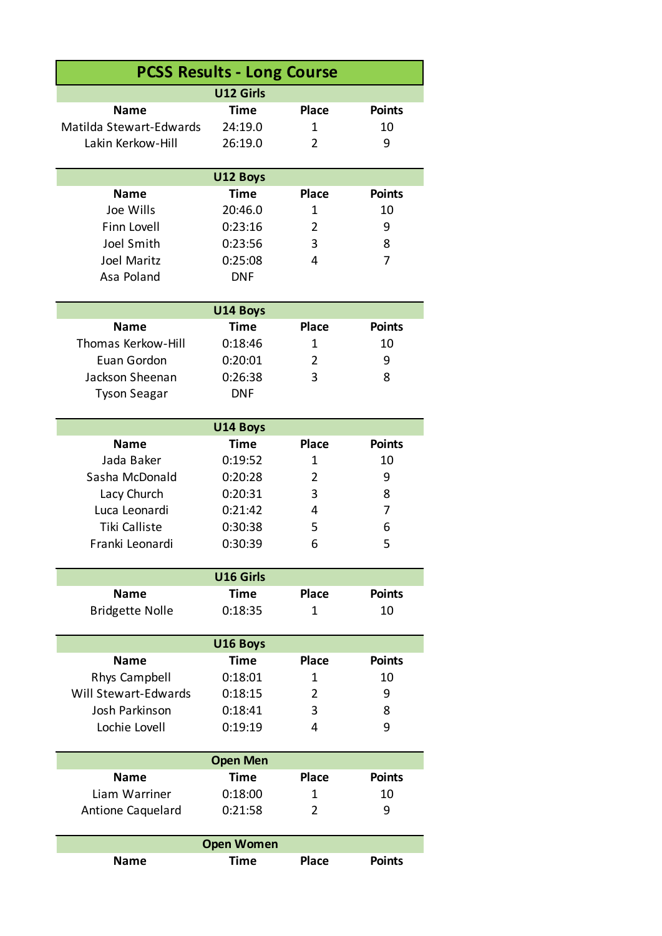| <b>PCSS Results - Long Course</b> |                   |                |               |  |  |
|-----------------------------------|-------------------|----------------|---------------|--|--|
|                                   | <b>U12 Girls</b>  |                |               |  |  |
| <b>Name</b>                       | Time              | <b>Place</b>   | <b>Points</b> |  |  |
| Matilda Stewart-Edwards           | 24:19.0           | 1              | 10            |  |  |
| Lakin Kerkow-Hill                 | 26:19.0           | 2              | 9             |  |  |
|                                   |                   |                |               |  |  |
|                                   | U12 Boys          |                |               |  |  |
| <b>Name</b>                       | Time              | <b>Place</b>   | <b>Points</b> |  |  |
| Joe Wills                         | 20:46.0           | $\mathbf{1}$   | 10            |  |  |
| <b>Finn Lovell</b>                | 0:23:16           | $\overline{2}$ | 9             |  |  |
| Joel Smith                        | 0:23:56           | 3              | 8             |  |  |
| Joel Maritz                       | 0:25:08           | 4              | 7             |  |  |
| Asa Poland                        | <b>DNF</b>        |                |               |  |  |
|                                   |                   |                |               |  |  |
| <b>Name</b>                       | U14 Boys<br>Time  | <b>Place</b>   | <b>Points</b> |  |  |
|                                   |                   |                |               |  |  |
| Thomas Kerkow-Hill                | 0:18:46           | $\mathbf{1}$   | 10            |  |  |
| Euan Gordon                       | 0:20:01           | $\overline{2}$ | 9             |  |  |
| Jackson Sheenan                   | 0:26:38           | 3              | 8             |  |  |
| <b>Tyson Seagar</b>               | <b>DNF</b>        |                |               |  |  |
|                                   | U14 Boys          |                |               |  |  |
| <b>Name</b>                       | Time              | <b>Place</b>   | <b>Points</b> |  |  |
| Jada Baker                        | 0:19:52           | 1              | 10            |  |  |
| Sasha McDonald                    | 0:20:28           | 2              | 9             |  |  |
| Lacy Church                       | 0:20:31           | 3              | 8             |  |  |
| Luca Leonardi                     | 0:21:42           | 4              | 7             |  |  |
| <b>Tiki Calliste</b>              | 0:30:38           | 5              | 6             |  |  |
| Franki Leonardi                   | 0:30:39           | 6              | 5             |  |  |
|                                   |                   |                |               |  |  |
| U16 Girls                         |                   |                |               |  |  |
| <b>Name</b>                       | Time              | <b>Place</b>   | <b>Points</b> |  |  |
| <b>Bridgette Nolle</b>            | 0:18:35           | $\mathbf{1}$   | 10            |  |  |
|                                   |                   |                |               |  |  |
|                                   | U16 Boys<br>Time  | <b>Place</b>   | <b>Points</b> |  |  |
| <b>Name</b>                       | 0:18:01           | $\mathbf{1}$   | 10            |  |  |
| Rhys Campbell                     |                   |                |               |  |  |
| Will Stewart-Edwards              | 0:18:15           | $\overline{2}$ | 9             |  |  |
| Josh Parkinson                    | 0:18:41           | 3              | 8             |  |  |
| Lochie Lovell                     | 0:19:19           | 4              | 9             |  |  |
|                                   | <b>Open Men</b>   |                |               |  |  |
| <b>Name</b>                       | Time              | <b>Place</b>   | <b>Points</b> |  |  |
| Liam Warriner                     | 0:18:00           | 1              | 10            |  |  |
| <b>Antione Caquelard</b>          | 0:21:58           | 2              | 9             |  |  |
|                                   |                   |                |               |  |  |
|                                   | <b>Open Women</b> |                |               |  |  |
| <b>Name</b>                       | Time              | <b>Place</b>   | <b>Points</b> |  |  |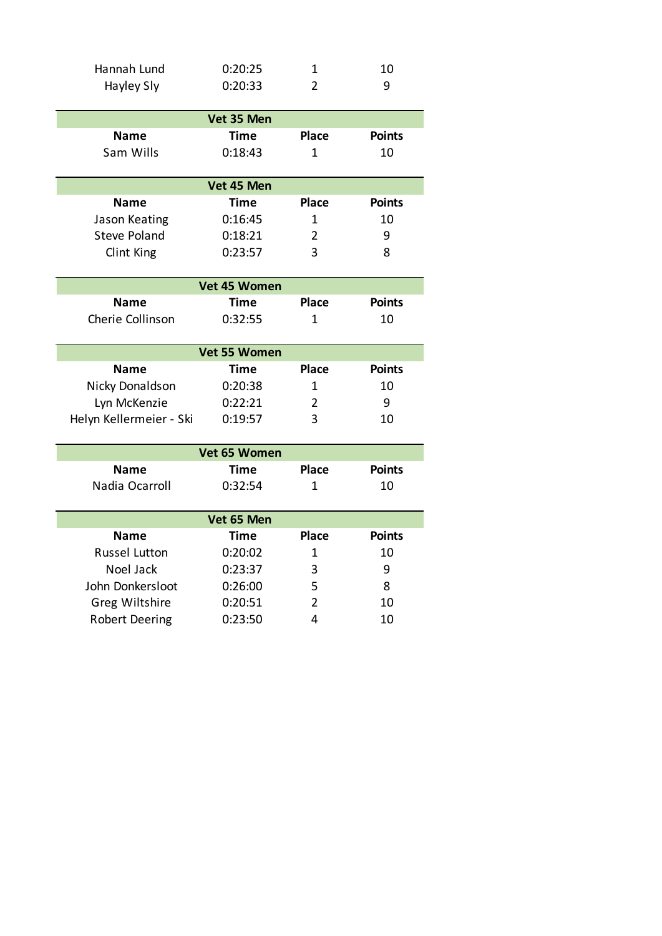| Hannah Lund | 0:20:25 | 10 |
|-------------|---------|----|
| Hayley Sly  | 0:20:33 | ч  |

|             | Vet 35 Men  |              |               |
|-------------|-------------|--------------|---------------|
| <b>Name</b> | <b>Time</b> | <b>Place</b> | <b>Points</b> |
| Sam Wills   | 0:18:43     | 1            | 10            |
|             | Vet 45 Men  |              |               |
| <b>Name</b> | <b>Time</b> | <b>Place</b> | <b>Points</b> |

| Jason Keating | 0:16:45 | 10 |
|---------------|---------|----|
| Steve Poland  | 0:18:21 | ч  |
| Clint King    | 0:23:57 | 8  |

|                  | Vet 45 Women |              |               |
|------------------|--------------|--------------|---------------|
| <b>Name</b>      | Time         | <b>Place</b> | <b>Points</b> |
| Cherie Collinson | 0:32:55      |              | 10            |

| <b>Vet 55 Women</b>     |         |              |               |
|-------------------------|---------|--------------|---------------|
| <b>Name</b>             | Time    | <b>Place</b> | <b>Points</b> |
| Nicky Donaldson         | 0:20:38 |              | 10            |
| Lyn McKenzie            | 0:22:21 |              | q             |
| Helyn Kellermeier - Ski | 0:19:57 | 3            | 10            |

| Vet 65 Women          |            |                |               |  |  |
|-----------------------|------------|----------------|---------------|--|--|
| <b>Name</b>           | Time       | <b>Place</b>   | <b>Points</b> |  |  |
| Nadia Ocarroll        | 0:32:54    | 1              | 10            |  |  |
|                       |            |                |               |  |  |
|                       | Vet 65 Men |                |               |  |  |
| <b>Name</b>           | Time       | <b>Place</b>   | <b>Points</b> |  |  |
| Russel Lutton         | 0:20:02    | 1              | 10            |  |  |
| Noel Jack             | 0:23:37    | 3              | 9             |  |  |
| John Donkersloot      | 0:26:00    | 5              | 8             |  |  |
| Greg Wiltshire        | 0:20:51    | $\overline{2}$ | 10            |  |  |
| <b>Robert Deering</b> | 0:23:50    | 4              | 10            |  |  |